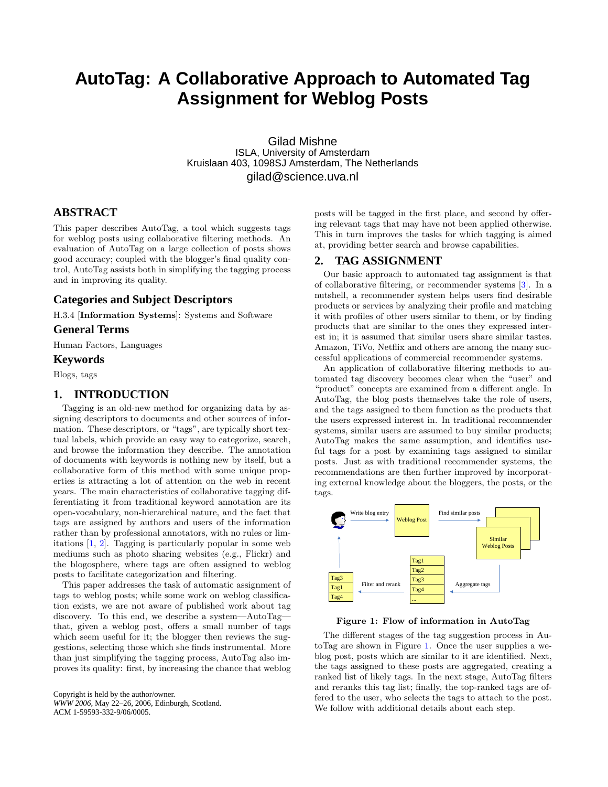# **AutoTag: A Collaborative Approach to Automated Tag Assignment for Weblog Posts**

Gilad Mishne ISLA, University of Amsterdam Kruislaan 403, 1098SJ Amsterdam, The Netherlands

gilad@science.uva.nl

## **ABSTRACT**

This paper describes AutoTag, a tool which suggests tags for weblog posts using collaborative filtering methods. An evaluation of AutoTag on a large collection of posts shows good accuracy; coupled with the blogger's final quality control, AutoTag assists both in simplifying the tagging process and in improving its quality.

#### **Categories and Subject Descriptors**

H.3.4 [Information Systems]: Systems and Software

### **General Terms**

Human Factors, Languages

## **Keywords**

Blogs, tags

### **1. INTRODUCTION**

Tagging is an old-new method for organizing data by assigning descriptors to documents and other sources of information. These descriptors, or "tags", are typically short textual labels, which provide an easy way to categorize, search, and browse the information they describe. The annotation of documents with keywords is nothing new by itself, but a collaborative form of this method with some unique properties is attracting a lot of attention on the web in recent years. The main characteristics of collaborative tagging differentiating it from traditional keyword annotation are its open-vocabulary, non-hierarchical nature, and the fact that tags are assigned by authors and users of the information rather than by professional annotators, with no rules or limitations [\[1,](#page-1-0) [2\]](#page-1-1). Tagging is particularly popular in some web mediums such as photo sharing websites (e.g., Flickr) and the blogosphere, where tags are often assigned to weblog posts to facilitate categorization and filtering.

This paper addresses the task of automatic assignment of tags to weblog posts; while some work on weblog classification exists, we are not aware of published work about tag discovery. To this end, we describe a system—AutoTag that, given a weblog post, offers a small number of tags which seem useful for it; the blogger then reviews the suggestions, selecting those which she finds instrumental. More than just simplifying the tagging process, AutoTag also improves its quality: first, by increasing the chance that weblog

Copyright is held by the author/owner. *WWW 2006,* May 22–26, 2006, Edinburgh, Scotland. ACM 1-59593-332-9/06/0005.

posts will be tagged in the first place, and second by offering relevant tags that may have not been applied otherwise. This in turn improves the tasks for which tagging is aimed at, providing better search and browse capabilities.

#### **2. TAG ASSIGNMENT**

Our basic approach to automated tag assignment is that of collaborative filtering, or recommender systems [\[3\]](#page-1-2). In a nutshell, a recommender system helps users find desirable products or services by analyzing their profile and matching it with profiles of other users similar to them, or by finding products that are similar to the ones they expressed interest in; it is assumed that similar users share similar tastes. Amazon, TiVo, Netflix and others are among the many successful applications of commercial recommender systems.

An application of collaborative filtering methods to automated tag discovery becomes clear when the "user" and "product" concepts are examined from a different angle. In AutoTag, the blog posts themselves take the role of users, and the tags assigned to them function as the products that the users expressed interest in. In traditional recommender systems, similar users are assumed to buy similar products; AutoTag makes the same assumption, and identifies useful tags for a post by examining tags assigned to similar posts. Just as with traditional recommender systems, the recommendations are then further improved by incorporating external knowledge about the bloggers, the posts, or the tags.



<span id="page-0-0"></span>Figure 1: Flow of information in AutoTag

The different stages of the tag suggestion process in AutoTag are shown in Figure [1.](#page-0-0) Once the user supplies a weblog post, posts which are similar to it are identified. Next, the tags assigned to these posts are aggregated, creating a ranked list of likely tags. In the next stage, AutoTag filters and reranks this tag list; finally, the top-ranked tags are offered to the user, who selects the tags to attach to the post. We follow with additional details about each step.